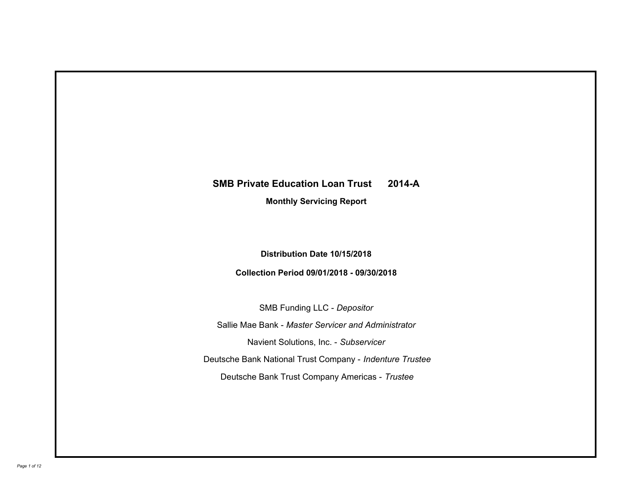# **SMB Private Education Loan Trust 2014-A**

**Monthly Servicing Report**

**Distribution Date 10/15/2018**

**Collection Period 09/01/2018 - 09/30/2018**

SMB Funding LLC - *Depositor* Sallie Mae Bank - *Master Servicer and Administrator* Deutsche Bank National Trust Company - *Indenture Trustee* Deutsche Bank Trust Company Americas - *Trustee* Navient Solutions, Inc. - *Subservicer*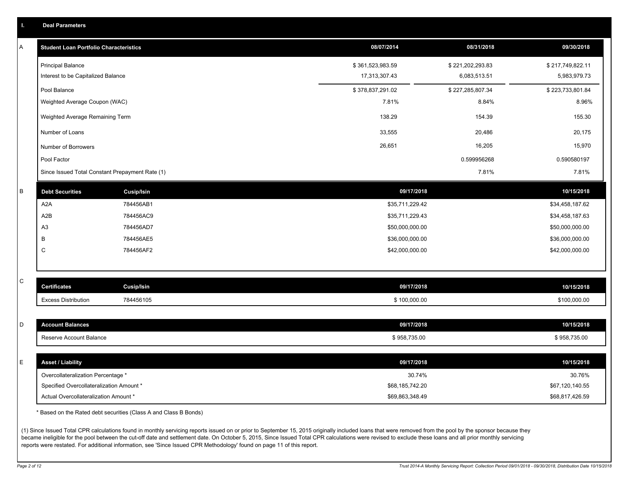| Ъ. | <b>Deal Parameters</b>                          |                                                                  |                  |                  |                  |
|----|-------------------------------------------------|------------------------------------------------------------------|------------------|------------------|------------------|
| A  | <b>Student Loan Portfolio Characteristics</b>   |                                                                  | 08/07/2014       | 08/31/2018       | 09/30/2018       |
|    | <b>Principal Balance</b>                        |                                                                  | \$361,523,983.59 | \$221,202,293.83 | \$217,749,822.11 |
|    | Interest to be Capitalized Balance              |                                                                  | 17,313,307.43    | 6,083,513.51     | 5,983,979.73     |
|    | Pool Balance                                    |                                                                  | \$378,837,291.02 | \$227,285,807.34 | \$223,733,801.84 |
|    | Weighted Average Coupon (WAC)                   |                                                                  | 7.81%            | 8.84%            | 8.96%            |
|    | Weighted Average Remaining Term                 |                                                                  | 138.29           | 154.39           | 155.30           |
|    | Number of Loans                                 |                                                                  | 33,555           | 20,486           | 20,175           |
|    | Number of Borrowers                             |                                                                  | 26,651           | 16,205           | 15,970           |
|    | Pool Factor                                     |                                                                  |                  | 0.599956268      | 0.590580197      |
|    | Since Issued Total Constant Prepayment Rate (1) |                                                                  |                  | 7.81%            | 7.81%            |
| В  | <b>Debt Securities</b>                          | <b>Cusip/Isin</b>                                                | 09/17/2018       |                  | 10/15/2018       |
|    | A <sub>2</sub> A                                | 784456AB1                                                        | \$35,711,229.42  |                  | \$34,458,187.62  |
|    | A2B                                             | 784456AC9                                                        | \$35,711,229.43  |                  | \$34,458,187.63  |
|    | A <sub>3</sub>                                  | 784456AD7                                                        | \$50,000,000.00  |                  | \$50,000,000.00  |
|    | B                                               | 784456AE5                                                        | \$36,000,000.00  |                  | \$36,000,000.00  |
|    | C                                               | 784456AF2                                                        | \$42,000,000.00  |                  | \$42,000,000.00  |
|    |                                                 |                                                                  |                  |                  |                  |
| С  | <b>Certificates</b>                             | <b>Cusip/Isin</b>                                                | 09/17/2018       |                  | 10/15/2018       |
|    | <b>Excess Distribution</b>                      | 784456105                                                        | \$100,000.00     |                  | \$100,000.00     |
|    |                                                 |                                                                  |                  |                  |                  |
| D  | <b>Account Balances</b>                         |                                                                  | 09/17/2018       |                  | 10/15/2018       |
|    | Reserve Account Balance                         |                                                                  | \$958,735.00     |                  | \$958,735.00     |
| E  | <b>Asset / Liability</b>                        |                                                                  | 09/17/2018       |                  | 10/15/2018       |
|    | Overcollateralization Percentage *              |                                                                  | 30.74%           |                  | 30.76%           |
|    | Specified Overcollateralization Amount *        |                                                                  | \$68,185,742.20  |                  | \$67,120,140.55  |
|    | Actual Overcollateralization Amount *           |                                                                  | \$69,863,348.49  |                  | \$68,817,426.59  |
|    |                                                 | * Based on the Rated debt securities (Class A and Class B Bonds) |                  |                  |                  |

(1) Since Issued Total CPR calculations found in monthly servicing reports issued on or prior to September 15, 2015 originally included loans that were removed from the pool by the sponsor because they became ineligible for the pool between the cut-off date and settlement date. On October 5, 2015, Since Issued Total CPR calculations were revised to exclude these loans and all prior monthly servicing reports were restated. For additional information, see 'Since Issued CPR Methodology' found on page 11 of this report.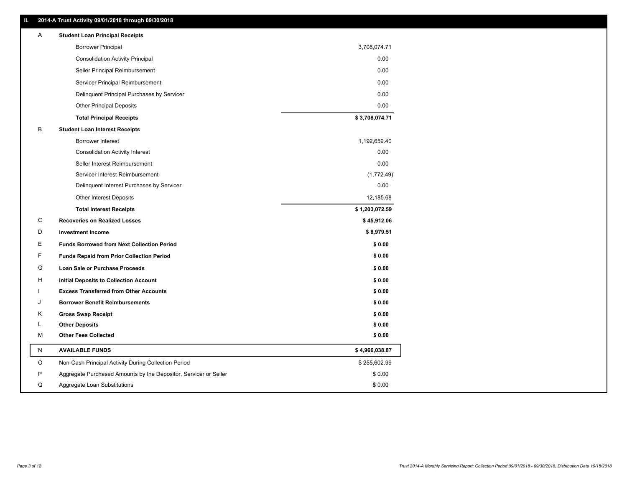| Ш.      | 2014-A Trust Activity 09/01/2018 through 09/30/2018              |                |
|---------|------------------------------------------------------------------|----------------|
| Α       | <b>Student Loan Principal Receipts</b>                           |                |
|         | <b>Borrower Principal</b>                                        | 3,708,074.71   |
|         | <b>Consolidation Activity Principal</b>                          | 0.00           |
|         | Seller Principal Reimbursement                                   | 0.00           |
|         | Servicer Principal Reimbursement                                 | 0.00           |
|         | Delinquent Principal Purchases by Servicer                       | 0.00           |
|         | <b>Other Principal Deposits</b>                                  | 0.00           |
|         | <b>Total Principal Receipts</b>                                  | \$3,708,074.71 |
| В       | <b>Student Loan Interest Receipts</b>                            |                |
|         | Borrower Interest                                                | 1,192,659.40   |
|         | <b>Consolidation Activity Interest</b>                           | 0.00           |
|         | Seller Interest Reimbursement                                    | 0.00           |
|         | Servicer Interest Reimbursement                                  | (1,772.49)     |
|         | Delinquent Interest Purchases by Servicer                        | 0.00           |
|         | <b>Other Interest Deposits</b>                                   | 12,185.68      |
|         | <b>Total Interest Receipts</b>                                   | \$1,203,072.59 |
| C       | <b>Recoveries on Realized Losses</b>                             | \$45,912.06    |
| D       | <b>Investment Income</b>                                         | \$8,979.51     |
| Ε       | <b>Funds Borrowed from Next Collection Period</b>                | \$0.00         |
| F       | <b>Funds Repaid from Prior Collection Period</b>                 | \$0.00         |
| G       | Loan Sale or Purchase Proceeds                                   | \$0.00         |
| н       | Initial Deposits to Collection Account                           | \$0.00         |
|         | <b>Excess Transferred from Other Accounts</b>                    | \$0.00         |
|         | <b>Borrower Benefit Reimbursements</b>                           | \$0.00         |
| Κ       | <b>Gross Swap Receipt</b>                                        | \$0.00         |
| L       | <b>Other Deposits</b>                                            | \$0.00         |
| м       | <b>Other Fees Collected</b>                                      | \$0.00         |
| N       | <b>AVAILABLE FUNDS</b>                                           | \$4,966,038.87 |
| $\circ$ | Non-Cash Principal Activity During Collection Period             | \$255,602.99   |
| P       | Aggregate Purchased Amounts by the Depositor, Servicer or Seller | \$0.00         |
| Q       | Aggregate Loan Substitutions                                     | \$0.00         |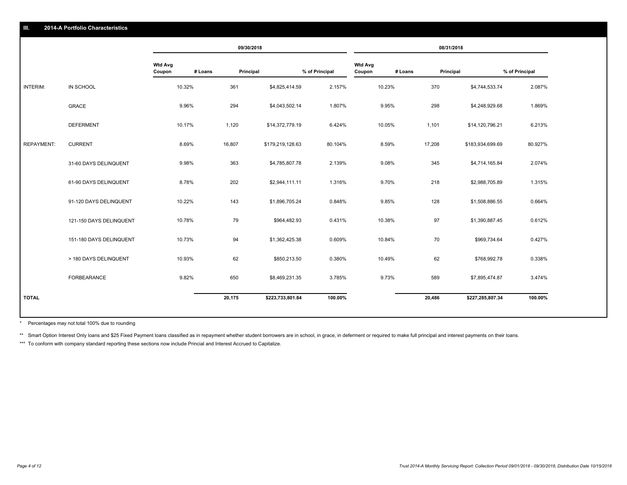|                   |                         |                          |         | 09/30/2018 |                  |                |                          |         | 08/31/2018 |                  |                |
|-------------------|-------------------------|--------------------------|---------|------------|------------------|----------------|--------------------------|---------|------------|------------------|----------------|
|                   |                         | <b>Wtd Avg</b><br>Coupon | # Loans | Principal  |                  | % of Principal | <b>Wtd Avg</b><br>Coupon | # Loans | Principal  |                  | % of Principal |
| INTERIM:          | IN SCHOOL               | 10.32%                   |         | 361        | \$4,825,414.59   | 2.157%         |                          | 10.23%  | 370        | \$4,744,533.74   | 2.087%         |
|                   | <b>GRACE</b>            | 9.96%                    |         | 294        | \$4,043,502.14   | 1.807%         |                          | 9.95%   | 298        | \$4,248,929.68   | 1.869%         |
|                   | <b>DEFERMENT</b>        | 10.17%                   |         | 1,120      | \$14,372,779.19  | 6.424%         |                          | 10.05%  | 1,101      | \$14,120,796.21  | 6.213%         |
| <b>REPAYMENT:</b> | <b>CURRENT</b>          | 8.69%                    |         | 16,807     | \$179,219,128.63 | 80.104%        |                          | 8.59%   | 17,208     | \$183,934,699.69 | 80.927%        |
|                   | 31-60 DAYS DELINQUENT   | 9.98%                    |         | 363        | \$4,785,807.78   | 2.139%         |                          | 9.08%   | 345        | \$4,714,165.84   | 2.074%         |
|                   | 61-90 DAYS DELINQUENT   | 8.78%                    |         | 202        | \$2,944,111.11   | 1.316%         |                          | 9.70%   | 218        | \$2,988,705.89   | 1.315%         |
|                   | 91-120 DAYS DELINQUENT  | 10.22%                   |         | 143        | \$1,896,705.24   | 0.848%         |                          | 9.85%   | 128        | \$1,508,886.55   | 0.664%         |
|                   | 121-150 DAYS DELINQUENT | 10.78%                   |         | 79         | \$964,482.93     | 0.431%         |                          | 10.38%  | 97         | \$1,390,887.45   | 0.612%         |
|                   | 151-180 DAYS DELINQUENT | 10.73%                   |         | 94         | \$1,362,425.38   | 0.609%         |                          | 10.84%  | 70         | \$969,734.64     | 0.427%         |
|                   | > 180 DAYS DELINQUENT   | 10.93%                   |         | 62         | \$850,213.50     | 0.380%         |                          | 10.49%  | 62         | \$768,992.78     | 0.338%         |
|                   | FORBEARANCE             | 9.82%                    |         | 650        | \$8,469,231.35   | 3.785%         |                          | 9.73%   | 589        | \$7,895,474.87   | 3.474%         |
| <b>TOTAL</b>      |                         |                          |         | 20,175     | \$223,733,801.84 | 100.00%        |                          |         | 20,486     | \$227,285,807.34 | 100.00%        |

Percentages may not total 100% due to rounding \*

\*\* Smart Option Interest Only loans and \$25 Fixed Payment loans classified as in repayment whether student borrowers are in school, in grace, in deferment or required to make full principal and interest payments on their l

\*\*\* To conform with company standard reporting these sections now include Princial and Interest Accrued to Capitalize.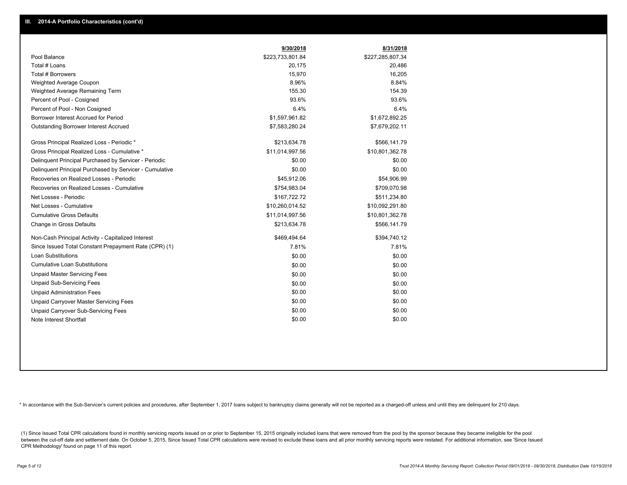|                                                         | 9/30/2018        | 8/31/2018        |
|---------------------------------------------------------|------------------|------------------|
| Pool Balance                                            | \$223,733,801.84 | \$227,285,807.34 |
| Total # Loans                                           | 20,175           | 20,486           |
| Total # Borrowers                                       | 15,970           | 16,205           |
| Weighted Average Coupon                                 | 8.96%            | 8.84%            |
| Weighted Average Remaining Term                         | 155.30           | 154.39           |
| Percent of Pool - Cosigned                              | 93.6%            | 93.6%            |
| Percent of Pool - Non Cosigned                          | 6.4%             | 6.4%             |
| Borrower Interest Accrued for Period                    | \$1,597,961.82   | \$1,672,892.25   |
| <b>Outstanding Borrower Interest Accrued</b>            | \$7,583,280.24   | \$7,679,202.11   |
| Gross Principal Realized Loss - Periodic *              | \$213,634.78     | \$566,141.79     |
| Gross Principal Realized Loss - Cumulative *            | \$11,014,997.56  | \$10,801,362.78  |
| Delinguent Principal Purchased by Servicer - Periodic   | \$0.00           | \$0.00           |
| Delinquent Principal Purchased by Servicer - Cumulative | \$0.00           | \$0.00           |
| Recoveries on Realized Losses - Periodic                | \$45,912.06      | \$54,906.99      |
| Recoveries on Realized Losses - Cumulative              | \$754,983.04     | \$709,070.98     |
| Net Losses - Periodic                                   | \$167,722.72     | \$511,234.80     |
| Net Losses - Cumulative                                 | \$10,260,014.52  | \$10,092,291.80  |
| <b>Cumulative Gross Defaults</b>                        | \$11,014,997.56  | \$10,801,362.78  |
| Change in Gross Defaults                                | \$213,634.78     | \$566,141.79     |
| Non-Cash Principal Activity - Capitalized Interest      | \$469,494.64     | \$394,740.12     |
| Since Issued Total Constant Prepayment Rate (CPR) (1)   | 7.81%            | 7.81%            |
| <b>Loan Substitutions</b>                               | \$0.00           | \$0.00           |
| <b>Cumulative Loan Substitutions</b>                    | \$0.00           | \$0.00           |
| <b>Unpaid Master Servicing Fees</b>                     | \$0.00           | \$0.00           |
| <b>Unpaid Sub-Servicing Fees</b>                        | \$0.00           | \$0.00           |
| <b>Unpaid Administration Fees</b>                       | \$0.00           | \$0.00           |
| <b>Unpaid Carryover Master Servicing Fees</b>           | \$0.00           | \$0.00           |
| Unpaid Carryover Sub-Servicing Fees                     | \$0.00           | \$0.00           |
| Note Interest Shortfall                                 | \$0.00           | \$0.00           |

\* In accordance with the Sub-Servicer's current policies and procedures, after September 1, 2017 loans subject to bankruptcy claims generally will not be reported as a charged-off unless and until they are delinquent for 2

(1) Since Issued Total CPR calculations found in monthly servicing reports issued on or prior to September 15, 2015 originally included loans that were removed from the pool by the sponsor because they became ineligible fo between the cut-off date and settlement date. On October 5, 2015, Since Issued Total CPR calculations were revised to exclude these loans and all prior monthly servicing reports were restated. For additional information, s CPR Methodology' found on page 11 of this report.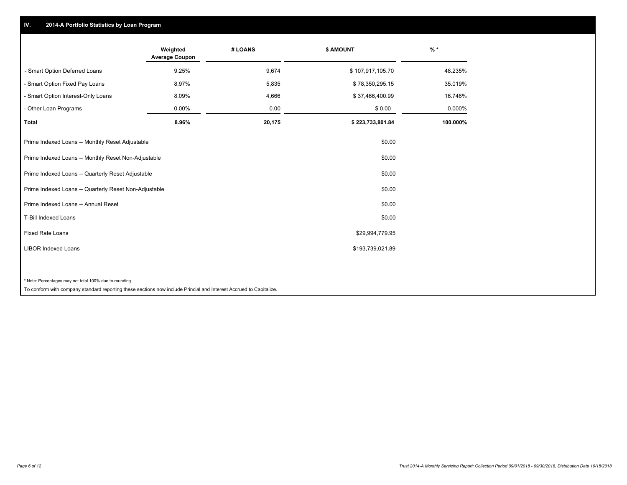## **IV. 2014-A Portfolio Statistics by Loan Program**

|                                                        | Weighted<br><b>Average Coupon</b> | # LOANS                  | <b>\$ AMOUNT</b> | $%$ *    |
|--------------------------------------------------------|-----------------------------------|--------------------------|------------------|----------|
| - Smart Option Deferred Loans                          | 9.25%                             | 9,674                    | \$107,917,105.70 | 48.235%  |
| - Smart Option Fixed Pay Loans                         | 8.97%                             | 5,835                    | \$78,350,295.15  | 35.019%  |
| - Smart Option Interest-Only Loans                     | 8.09%                             | 4,666                    | \$37,466,400.99  | 16.746%  |
| - Other Loan Programs                                  | 0.00%                             | 0.00                     | \$0.00           | 0.000%   |
| <b>Total</b>                                           | 8.96%                             | 20,175                   | \$223,733,801.84 | 100.000% |
| Prime Indexed Loans -- Monthly Reset Adjustable        |                                   |                          | \$0.00           |          |
| Prime Indexed Loans -- Monthly Reset Non-Adjustable    |                                   |                          | \$0.00           |          |
| Prime Indexed Loans -- Quarterly Reset Adjustable      |                                   |                          | \$0.00           |          |
| Prime Indexed Loans -- Quarterly Reset Non-Adjustable  |                                   |                          | \$0.00           |          |
| Prime Indexed Loans -- Annual Reset                    |                                   |                          | \$0.00           |          |
| <b>T-Bill Indexed Loans</b>                            |                                   |                          | \$0.00           |          |
| <b>Fixed Rate Loans</b>                                |                                   |                          | \$29,994,779.95  |          |
| <b>LIBOR Indexed Loans</b>                             |                                   |                          | \$193,739,021.89 |          |
|                                                        |                                   |                          |                  |          |
| * Note: Percentages may not total 100% due to rounding | .                                 | $\cdots$ $\sim$ $\cdots$ |                  |          |

To conform with company standard reporting these sections now include Princial and Interest Accrued to Capitalize.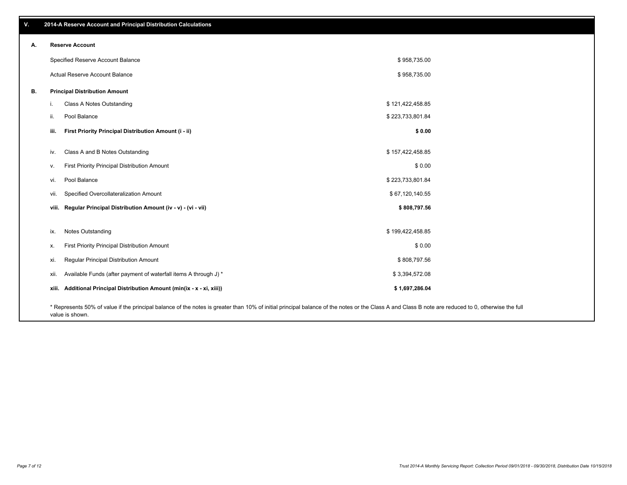| А. |       | <b>Reserve Account</b>                                                                                                                                                                             |                  |  |
|----|-------|----------------------------------------------------------------------------------------------------------------------------------------------------------------------------------------------------|------------------|--|
|    |       | Specified Reserve Account Balance                                                                                                                                                                  | \$958,735.00     |  |
|    |       | <b>Actual Reserve Account Balance</b>                                                                                                                                                              | \$958,735.00     |  |
| В. |       | <b>Principal Distribution Amount</b>                                                                                                                                                               |                  |  |
|    | j.    | Class A Notes Outstanding                                                                                                                                                                          | \$121,422,458.85 |  |
|    | ii.   | Pool Balance                                                                                                                                                                                       | \$223,733,801.84 |  |
|    | iii.  | First Priority Principal Distribution Amount (i - ii)                                                                                                                                              | \$0.00           |  |
|    | iv.   | Class A and B Notes Outstanding                                                                                                                                                                    | \$157,422,458.85 |  |
|    | v.    | First Priority Principal Distribution Amount                                                                                                                                                       | \$0.00           |  |
|    | VI.   | Pool Balance                                                                                                                                                                                       | \$223,733,801.84 |  |
|    | VII.  | Specified Overcollateralization Amount                                                                                                                                                             | \$67,120,140.55  |  |
|    | viii. | Regular Principal Distribution Amount (iv - v) - (vi - vii)                                                                                                                                        | \$808,797.56     |  |
|    | ix.   | <b>Notes Outstanding</b>                                                                                                                                                                           | \$199,422,458.85 |  |
|    | х.    | First Priority Principal Distribution Amount                                                                                                                                                       | \$0.00           |  |
|    | XI.   | Regular Principal Distribution Amount                                                                                                                                                              | \$808,797.56     |  |
|    | XII.  | Available Funds (after payment of waterfall items A through J) *                                                                                                                                   | \$3,394,572.08   |  |
|    | xiii. | Additional Principal Distribution Amount (min(ix - x - xi, xiii))                                                                                                                                  | \$1,697,286.04   |  |
|    |       | * Represents 50% of value if the principal balance of the notes is greater than 10% of initial principal balance of the notes or the Class A and Class B note are reduced to 0, otherwise the full |                  |  |

value is shown.

## **V. 2014-A Reserve Account and Principal Distribution Calculations**

**A. Reserve Account**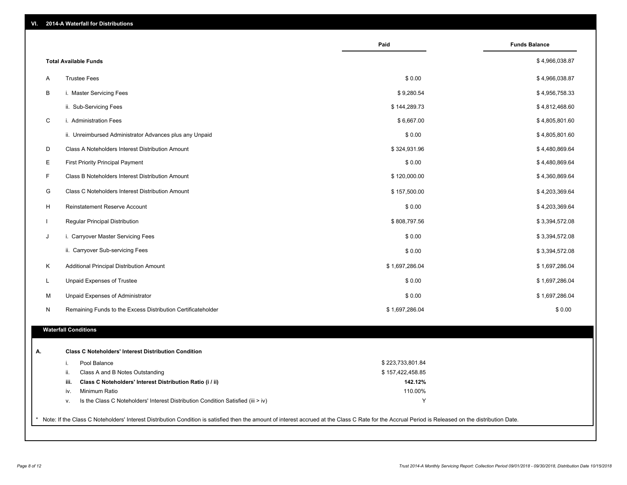| VI.<br><b>2014-A Waterfall for Distributions</b> |  |
|--------------------------------------------------|--|
|--------------------------------------------------|--|

|     |                                                                                  | Paid             | <b>Funds Balance</b> |
|-----|----------------------------------------------------------------------------------|------------------|----------------------|
|     | <b>Total Available Funds</b>                                                     |                  | \$4,966,038.87       |
| A   | <b>Trustee Fees</b>                                                              | \$0.00           | \$4,966,038.87       |
| B   | i. Master Servicing Fees                                                         | \$9,280.54       | \$4,956,758.33       |
|     | ii. Sub-Servicing Fees                                                           | \$144,289.73     | \$4,812,468.60       |
| C   | i. Administration Fees                                                           | \$6,667.00       | \$4,805,801.60       |
|     | ii. Unreimbursed Administrator Advances plus any Unpaid                          | \$0.00           | \$4,805,801.60       |
| D   | Class A Noteholders Interest Distribution Amount                                 | \$324,931.96     | \$4,480,869.64       |
| Е   | <b>First Priority Principal Payment</b>                                          | \$0.00           | \$4,480,869.64       |
| F   | Class B Noteholders Interest Distribution Amount                                 | \$120,000.00     | \$4,360,869.64       |
| G   | Class C Noteholders Interest Distribution Amount                                 | \$157,500.00     | \$4,203,369.64       |
| H   | Reinstatement Reserve Account                                                    | \$0.00           | \$4,203,369.64       |
|     | Regular Principal Distribution                                                   | \$808,797.56     | \$3,394,572.08       |
|     | i. Carryover Master Servicing Fees                                               | \$0.00           | \$3,394,572.08       |
|     | ii. Carryover Sub-servicing Fees                                                 | \$0.00           | \$3,394,572.08       |
| Κ   | Additional Principal Distribution Amount                                         | \$1,697,286.04   | \$1,697,286.04       |
| L   | Unpaid Expenses of Trustee                                                       | \$0.00           | \$1,697,286.04       |
| м   | Unpaid Expenses of Administrator                                                 | \$0.00           | \$1,697,286.04       |
| N   | Remaining Funds to the Excess Distribution Certificateholder                     | \$1,697,286.04   | \$0.00               |
|     |                                                                                  |                  |                      |
|     | <b>Waterfall Conditions</b>                                                      |                  |                      |
|     | <b>Class C Noteholders' Interest Distribution Condition</b>                      |                  |                      |
| i.  | Pool Balance                                                                     | \$223,733,801.84 |                      |
| ii. | Class A and B Notes Outstanding                                                  | \$157,422,458.85 |                      |
|     | iii.<br>Class C Noteholders' Interest Distribution Ratio (i / ii)                | 142.12%          |                      |
|     | Minimum Ratio<br>iv.                                                             | 110.00%          |                      |
| v.  | Is the Class C Noteholders' Interest Distribution Condition Satisfied (iii > iv) | Υ                |                      |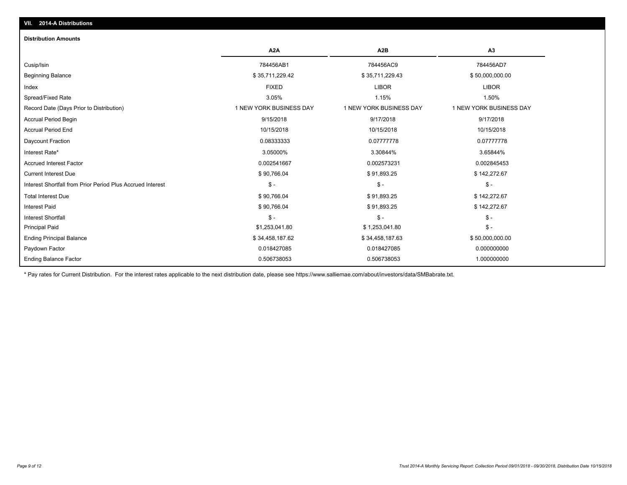## **VII. 2014-A Distributions**

### **Distribution Amounts**

|                                                            | A <sub>2</sub> A        | A2B                     | A <sub>3</sub>          |
|------------------------------------------------------------|-------------------------|-------------------------|-------------------------|
| Cusip/Isin                                                 | 784456AB1               | 784456AC9               | 784456AD7               |
| <b>Beginning Balance</b>                                   | \$35,711,229.42         | \$35,711,229.43         | \$50,000,000.00         |
| Index                                                      | <b>FIXED</b>            | <b>LIBOR</b>            | <b>LIBOR</b>            |
| Spread/Fixed Rate                                          | 3.05%                   | 1.15%                   | 1.50%                   |
| Record Date (Days Prior to Distribution)                   | 1 NEW YORK BUSINESS DAY | 1 NEW YORK BUSINESS DAY | 1 NEW YORK BUSINESS DAY |
| <b>Accrual Period Begin</b>                                | 9/15/2018               | 9/17/2018               | 9/17/2018               |
| <b>Accrual Period End</b>                                  | 10/15/2018              | 10/15/2018              | 10/15/2018              |
| Daycount Fraction                                          | 0.08333333              | 0.07777778              | 0.07777778              |
| Interest Rate*                                             | 3.05000%                | 3.30844%                | 3.65844%                |
| <b>Accrued Interest Factor</b>                             | 0.002541667             | 0.002573231             | 0.002845453             |
| <b>Current Interest Due</b>                                | \$90,766.04             | \$91,893.25             | \$142,272.67            |
| Interest Shortfall from Prior Period Plus Accrued Interest | $S -$                   | $\mathbb{S}$ -          | $S -$                   |
| <b>Total Interest Due</b>                                  | \$90,766.04             | \$91,893.25             | \$142,272.67            |
| <b>Interest Paid</b>                                       | \$90,766.04             | \$91,893.25             | \$142,272.67            |
| <b>Interest Shortfall</b>                                  | $\frac{2}{3}$ -         | $\mathbb{S}$ -          | $S -$                   |
| <b>Principal Paid</b>                                      | \$1,253,041.80          | \$1,253,041.80          | $\frac{2}{3}$ -         |
| <b>Ending Principal Balance</b>                            | \$34,458,187.62         | \$34,458,187.63         | \$50,000,000.00         |
| Paydown Factor                                             | 0.018427085             | 0.018427085             | 0.000000000             |
| Ending Balance Factor                                      | 0.506738053             | 0.506738053             | 1.000000000             |

\* Pay rates for Current Distribution. For the interest rates applicable to the next distribution date, please see https://www.salliemae.com/about/investors/data/SMBabrate.txt.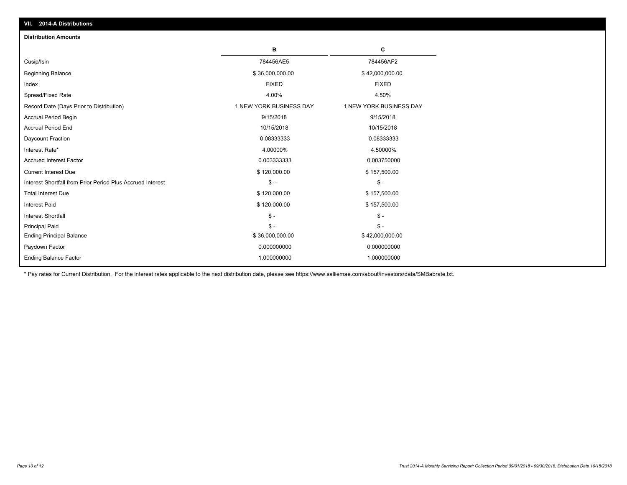| VII. 2014-A Distributions                                  |                         |                         |
|------------------------------------------------------------|-------------------------|-------------------------|
| <b>Distribution Amounts</b>                                |                         |                         |
|                                                            | в                       | C                       |
| Cusip/Isin                                                 | 784456AE5               | 784456AF2               |
| Beginning Balance                                          | \$36,000,000.00         | \$42,000,000.00         |
| Index                                                      | <b>FIXED</b>            | <b>FIXED</b>            |
| Spread/Fixed Rate                                          | 4.00%                   | 4.50%                   |
| Record Date (Days Prior to Distribution)                   | 1 NEW YORK BUSINESS DAY | 1 NEW YORK BUSINESS DAY |
| <b>Accrual Period Begin</b>                                | 9/15/2018               | 9/15/2018               |
| <b>Accrual Period End</b>                                  | 10/15/2018              | 10/15/2018              |
| Daycount Fraction                                          | 0.08333333              | 0.08333333              |
| Interest Rate*                                             | 4.00000%                | 4.50000%                |
| <b>Accrued Interest Factor</b>                             | 0.003333333             | 0.003750000             |
| <b>Current Interest Due</b>                                | \$120,000.00            | \$157,500.00            |
| Interest Shortfall from Prior Period Plus Accrued Interest | $\mathsf{\$}$ -         | $\mathsf{\$}$ -         |
| <b>Total Interest Due</b>                                  | \$120,000.00            | \$157,500.00            |
| <b>Interest Paid</b>                                       | \$120,000.00            | \$157,500.00            |
| <b>Interest Shortfall</b>                                  | $\mathcal{S}$ -         | $\mathcal{S}$ -         |
| <b>Principal Paid</b>                                      | $\mathbb{S}$ -          | $\mathbb{S}$ -          |
| <b>Ending Principal Balance</b>                            | \$36,000,000.00         | \$42,000,000.00         |
| Paydown Factor                                             | 0.000000000             | 0.000000000             |
| <b>Ending Balance Factor</b>                               | 1.000000000             | 1.000000000             |

\* Pay rates for Current Distribution. For the interest rates applicable to the next distribution date, please see https://www.salliemae.com/about/investors/data/SMBabrate.txt.